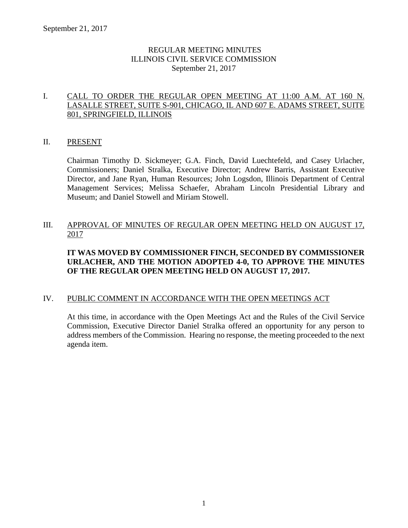# REGULAR MEETING MINUTES ILLINOIS CIVIL SERVICE COMMISSION September 21, 2017

# I. CALL TO ORDER THE REGULAR OPEN MEETING AT 11:00 A.M. AT 160 N. LASALLE STREET, SUITE S-901, CHICAGO, IL AND 607 E. ADAMS STREET, SUITE 801, SPRINGFIELD, ILLINOIS

# II. PRESENT

Chairman Timothy D. Sickmeyer; G.A. Finch, David Luechtefeld, and Casey Urlacher, Commissioners; Daniel Stralka, Executive Director; Andrew Barris, Assistant Executive Director, and Jane Ryan, Human Resources; John Logsdon, Illinois Department of Central Management Services; Melissa Schaefer, Abraham Lincoln Presidential Library and Museum; and Daniel Stowell and Miriam Stowell.

# III. APPROVAL OF MINUTES OF REGULAR OPEN MEETING HELD ON AUGUST 17, 2017

# **IT WAS MOVED BY COMMISSIONER FINCH, SECONDED BY COMMISSIONER URLACHER, AND THE MOTION ADOPTED 4-0, TO APPROVE THE MINUTES OF THE REGULAR OPEN MEETING HELD ON AUGUST 17, 2017.**

# IV. PUBLIC COMMENT IN ACCORDANCE WITH THE OPEN MEETINGS ACT

At this time, in accordance with the Open Meetings Act and the Rules of the Civil Service Commission, Executive Director Daniel Stralka offered an opportunity for any person to address members of the Commission. Hearing no response, the meeting proceeded to the next agenda item.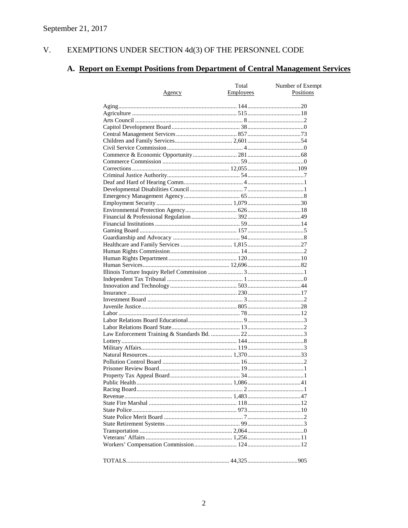#### $V<sub>r</sub>$ EXEMPTIONS UNDER SECTION  $4d(3)$  OF THE PERSONNEL CODE

# A. Report on Exempt Positions from Department of Central Management Services

|               | Total     | Number of Exempt |
|---------------|-----------|------------------|
| <u>Agency</u> | Employees | Positions        |
|               |           |                  |
|               |           |                  |
|               |           |                  |
|               |           |                  |
|               |           |                  |
|               |           |                  |
|               |           |                  |
|               |           |                  |
|               |           |                  |
|               |           |                  |
|               |           |                  |
|               |           |                  |
|               |           |                  |
|               |           |                  |
|               |           |                  |
|               |           |                  |
|               |           |                  |
|               |           |                  |
|               |           |                  |
|               |           |                  |
|               |           |                  |
|               |           |                  |
|               |           |                  |
|               |           |                  |
|               |           |                  |
|               |           |                  |
|               |           |                  |
|               |           |                  |
|               |           |                  |
|               |           |                  |
|               |           |                  |
|               |           |                  |
|               |           |                  |
|               |           |                  |
|               |           |                  |
|               |           |                  |
|               |           |                  |
|               |           |                  |
|               |           |                  |
|               |           |                  |
|               |           |                  |
|               |           |                  |
|               |           |                  |
|               |           |                  |
|               |           |                  |
|               |           |                  |
|               |           |                  |
|               |           |                  |
|               |           |                  |
|               |           |                  |
|               |           |                  |
|               |           |                  |
|               |           |                  |
|               |           |                  |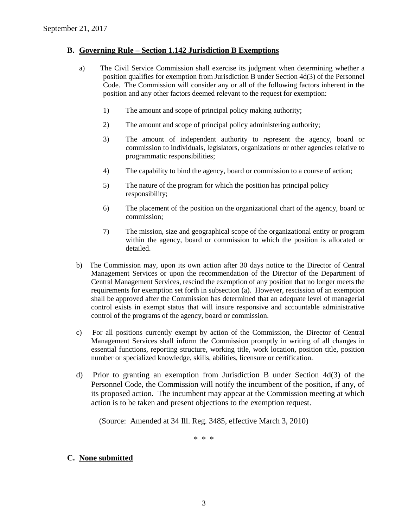### **B. Governing Rule – Section 1.142 Jurisdiction B Exemptions**

- a) The Civil Service Commission shall exercise its judgment when determining whether a position qualifies for exemption from Jurisdiction B under Section 4d(3) of the Personnel Code. The Commission will consider any or all of the following factors inherent in the position and any other factors deemed relevant to the request for exemption:
	- 1) The amount and scope of principal policy making authority;
	- 2) The amount and scope of principal policy administering authority;
	- 3) The amount of independent authority to represent the agency, board or commission to individuals, legislators, organizations or other agencies relative to programmatic responsibilities;
	- 4) The capability to bind the agency, board or commission to a course of action;
	- 5) The nature of the program for which the position has principal policy responsibility;
	- 6) The placement of the position on the organizational chart of the agency, board or commission;
	- 7) The mission, size and geographical scope of the organizational entity or program within the agency, board or commission to which the position is allocated or detailed.
- b) The Commission may, upon its own action after 30 days notice to the Director of Central Management Services or upon the recommendation of the Director of the Department of Central Management Services, rescind the exemption of any position that no longer meets the requirements for exemption set forth in subsection (a). However, rescission of an exemption shall be approved after the Commission has determined that an adequate level of managerial control exists in exempt status that will insure responsive and accountable administrative control of the programs of the agency, board or commission.
- c) For all positions currently exempt by action of the Commission, the Director of Central Management Services shall inform the Commission promptly in writing of all changes in essential functions, reporting structure, working title, work location, position title, position number or specialized knowledge, skills, abilities, licensure or certification.
- d) Prior to granting an exemption from Jurisdiction B under Section 4d(3) of the Personnel Code, the Commission will notify the incumbent of the position, if any, of its proposed action. The incumbent may appear at the Commission meeting at which action is to be taken and present objections to the exemption request.

(Source: Amended at 34 Ill. Reg. 3485, effective March 3, 2010)

\* \* \*

#### **C. None submitted**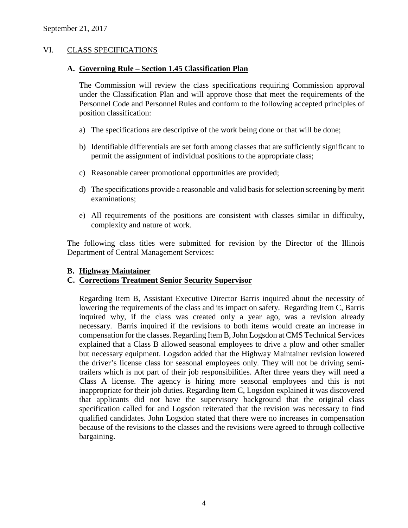# VI. CLASS SPECIFICATIONS

#### **A. Governing Rule – Section 1.45 Classification Plan**

The Commission will review the class specifications requiring Commission approval under the Classification Plan and will approve those that meet the requirements of the Personnel Code and Personnel Rules and conform to the following accepted principles of position classification:

- a) The specifications are descriptive of the work being done or that will be done;
- b) Identifiable differentials are set forth among classes that are sufficiently significant to permit the assignment of individual positions to the appropriate class;
- c) Reasonable career promotional opportunities are provided;
- d) The specifications provide a reasonable and valid basis for selection screening by merit examinations;
- e) All requirements of the positions are consistent with classes similar in difficulty, complexity and nature of work.

The following class titles were submitted for revision by the Director of the Illinois Department of Central Management Services:

### **B. Highway Maintainer**

### **C. Corrections Treatment Senior Security Supervisor**

Regarding Item B, Assistant Executive Director Barris inquired about the necessity of lowering the requirements of the class and its impact on safety. Regarding Item C, Barris inquired why, if the class was created only a year ago, was a revision already necessary. Barris inquired if the revisions to both items would create an increase in compensation for the classes. Regarding Item B, John Logsdon at CMS Technical Services explained that a Class B allowed seasonal employees to drive a plow and other smaller but necessary equipment. Logsdon added that the Highway Maintainer revision lowered the driver's license class for seasonal employees only. They will not be driving semitrailers which is not part of their job responsibilities. After three years they will need a Class A license. The agency is hiring more seasonal employees and this is not inappropriate for their job duties. Regarding Item C, Logsdon explained it was discovered that applicants did not have the supervisory background that the original class specification called for and Logsdon reiterated that the revision was necessary to find qualified candidates. John Logsdon stated that there were no increases in compensation because of the revisions to the classes and the revisions were agreed to through collective bargaining.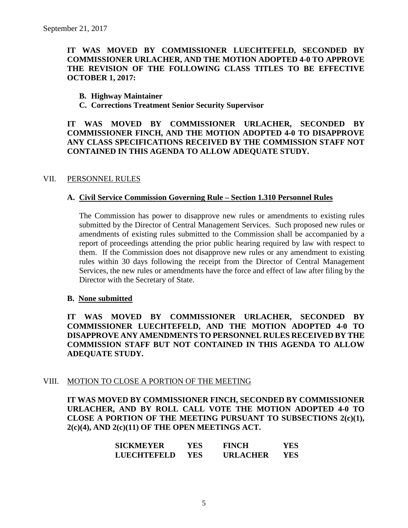# **IT WAS MOVED BY COMMISSIONER LUECHTEFELD, SECONDED BY COMMISSIONER URLACHER, AND THE MOTION ADOPTED 4-0 TO APPROVE THE REVISION OF THE FOLLOWING CLASS TITLES TO BE EFFECTIVE OCTOBER 1, 2017:**

#### **B. Highway Maintainer**

**C. Corrections Treatment Senior Security Supervisor**

**IT WAS MOVED BY COMMISSIONER URLACHER, SECONDED BY COMMISSIONER FINCH, AND THE MOTION ADOPTED 4-0 TO DISAPPROVE ANY CLASS SPECIFICATIONS RECEIVED BY THE COMMISSION STAFF NOT CONTAINED IN THIS AGENDA TO ALLOW ADEQUATE STUDY.** 

#### VII. PERSONNEL RULES

#### **A. Civil Service Commission Governing Rule – Section 1.310 Personnel Rules**

The Commission has power to disapprove new rules or amendments to existing rules submitted by the Director of Central Management Services. Such proposed new rules or amendments of existing rules submitted to the Commission shall be accompanied by a report of proceedings attending the prior public hearing required by law with respect to them. If the Commission does not disapprove new rules or any amendment to existing rules within 30 days following the receipt from the Director of Central Management Services, the new rules or amendments have the force and effect of law after filing by the Director with the Secretary of State.

#### **B. None submitted**

**IT WAS MOVED BY COMMISSIONER URLACHER, SECONDED BY COMMISSIONER LUECHTEFELD, AND THE MOTION ADOPTED 4-0 TO DISAPPROVE ANY AMENDMENTS TO PERSONNEL RULES RECEIVED BY THE COMMISSION STAFF BUT NOT CONTAINED IN THIS AGENDA TO ALLOW ADEQUATE STUDY.** 

#### VIII. MOTION TO CLOSE A PORTION OF THE MEETING

**IT WAS MOVED BY COMMISSIONER FINCH, SECONDED BY COMMISSIONER URLACHER, AND BY ROLL CALL VOTE THE MOTION ADOPTED 4-0 TO CLOSE A PORTION OF THE MEETING PURSUANT TO SUBSECTIONS 2(c)(1), 2(c)(4), AND 2(c)(11) OF THE OPEN MEETINGS ACT.**

| <b>SICKMEYER</b>   | YES. | <b>FINCH</b>    | YES |
|--------------------|------|-----------------|-----|
| <b>LUECHTEFELD</b> | YES. | <b>URLACHER</b> | YES |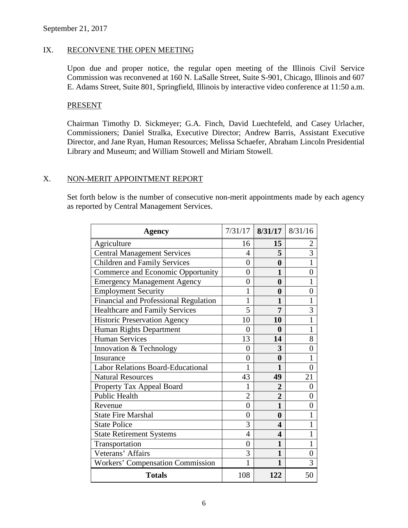# IX. RECONVENE THE OPEN MEETING

Upon due and proper notice, the regular open meeting of the Illinois Civil Service Commission was reconvened at 160 N. LaSalle Street, Suite S-901, Chicago, Illinois and 607 E. Adams Street, Suite 801, Springfield, Illinois by interactive video conference at 11:50 a.m.

### PRESENT

Chairman Timothy D. Sickmeyer; G.A. Finch, David Luechtefeld, and Casey Urlacher, Commissioners; Daniel Stralka, Executive Director; Andrew Barris, Assistant Executive Director, and Jane Ryan, Human Resources; Melissa Schaefer, Abraham Lincoln Presidential Library and Museum; and William Stowell and Miriam Stowell.

#### X. NON-MERIT APPOINTMENT REPORT

Set forth below is the number of consecutive non-merit appointments made by each agency as reported by Central Management Services.

| <b>Agency</b>                            |                | $7/31/17$ 8/31/17 8/31/16 |                |
|------------------------------------------|----------------|---------------------------|----------------|
| Agriculture                              | 16             | 15                        | 2              |
| <b>Central Management Services</b>       | 4              | 5                         | $\overline{3}$ |
| <b>Children and Family Services</b>      | $\overline{0}$ | $\bf{0}$                  | $\mathbf{1}$   |
| Commerce and Economic Opportunity        | $\overline{0}$ | 1                         | $\overline{0}$ |
| <b>Emergency Management Agency</b>       | 0              | 0                         | 1              |
| <b>Employment Security</b>               | 1              | 0                         | 0              |
| Financial and Professional Regulation    | 1              | 1                         | 1              |
| <b>Healthcare and Family Services</b>    | 5              | 7                         | 3              |
| <b>Historic Preservation Agency</b>      | 10             | 10                        | $\mathbf{1}$   |
| Human Rights Department                  | 0              | $\boldsymbol{0}$          | 1              |
| <b>Human Services</b>                    | 13             | 14                        | 8              |
| Innovation & Technology                  | 0              | 3                         | $\overline{0}$ |
| Insurance                                | $\overline{0}$ | $\boldsymbol{0}$          | $\mathbf{1}$   |
| <b>Labor Relations Board-Educational</b> | 1              | 1                         | $\overline{0}$ |
| <b>Natural Resources</b>                 | 43             | 49                        | 21             |
| Property Tax Appeal Board                | 1              | $\overline{2}$            | $\overline{0}$ |
| <b>Public Health</b>                     | $\overline{2}$ | $\overline{2}$            | $\overline{0}$ |
| Revenue                                  | $\overline{0}$ | 1                         | 0              |
| <b>State Fire Marshal</b>                | $\overline{0}$ | $\boldsymbol{0}$          | 1              |
| <b>State Police</b>                      | 3              | 4                         | 1              |
| <b>State Retirement Systems</b>          | 4              | 4                         | 1              |
| Transportation                           | 0              | 1                         | 1              |
| Veterans' Affairs                        | 3              | 1                         | $\overline{0}$ |
| <b>Workers' Compensation Commission</b>  | 1              | 1                         | 3              |
| <b>Totals</b>                            | 108            | 122                       | 50             |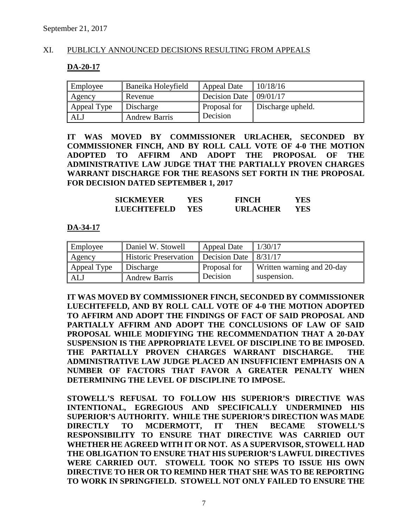# XI. PUBLICLY ANNOUNCED DECISIONS RESULTING FROM APPEALS

#### **DA-20-17**

| Employee    | Baneika Holeyfield   | Appeal Date                       | 10/18/16          |
|-------------|----------------------|-----------------------------------|-------------------|
| Agency      | Revenue              | Decision Date $\frac{109}{01/17}$ |                   |
| Appeal Type | Discharge            | Proposal for                      | Discharge upheld. |
| ALJ         | <b>Andrew Barris</b> | Decision                          |                   |

**IT WAS MOVED BY COMMISSIONER URLACHER, SECONDED BY COMMISSIONER FINCH, AND BY ROLL CALL VOTE OF 4-0 THE MOTION ADOPTED TO AFFIRM AND ADOPT THE PROPOSAL OF THE ADMINISTRATIVE LAW JUDGE THAT THE PARTIALLY PROVEN CHARGES WARRANT DISCHARGE FOR THE REASONS SET FORTH IN THE PROPOSAL FOR DECISION DATED SEPTEMBER 1, 2017**

| <b>SICKMEYER</b>   | YES | <b>FINCH</b>    | YES |
|--------------------|-----|-----------------|-----|
| <b>LUECHTEFELD</b> | YES | <b>URLACHER</b> | YES |

#### **DA-34-17**

| Employee    | Daniel W. Stowell            | Appeal Date   | 1/30/17                    |
|-------------|------------------------------|---------------|----------------------------|
| Agency      | <b>Historic Preservation</b> | Decision Date | 8/31/17                    |
| Appeal Type | Discharge                    | Proposal for  | Written warning and 20-day |
| <b>ALJ</b>  | <b>Andrew Barris</b>         | Decision      | suspension.                |

**IT WAS MOVED BY COMMISSIONER FINCH, SECONDED BY COMMISSIONER LUECHTEFELD, AND BY ROLL CALL VOTE OF 4-0 THE MOTION ADOPTED TO AFFIRM AND ADOPT THE FINDINGS OF FACT OF SAID PROPOSAL AND PARTIALLY AFFIRM AND ADOPT THE CONCLUSIONS OF LAW OF SAID PROPOSAL WHILE MODIFYING THE RECOMMENDATION THAT A 20-DAY SUSPENSION IS THE APPROPRIATE LEVEL OF DISCIPLINE TO BE IMPOSED. THE PARTIALLY PROVEN CHARGES WARRANT DISCHARGE. THE ADMINISTRATIVE LAW JUDGE PLACED AN INSUFFICIENT EMPHASIS ON A NUMBER OF FACTORS THAT FAVOR A GREATER PENALTY WHEN DETERMINING THE LEVEL OF DISCIPLINE TO IMPOSE.** 

**STOWELL'S REFUSAL TO FOLLOW HIS SUPERIOR'S DIRECTIVE WAS INTENTIONAL, EGREGIOUS AND SPECIFICALLY UNDERMINED HIS SUPERIOR'S AUTHORITY. WHILE THE SUPERIOR'S DIRECTION WAS MADE DIRECTLY TO MCDERMOTT, IT THEN BECAME STOWELL'S RESPONSIBILITY TO ENSURE THAT DIRECTIVE WAS CARRIED OUT WHETHER HE AGREED WITH IT OR NOT. AS A SUPERVISOR, STOWELL HAD THE OBLIGATION TO ENSURE THAT HIS SUPERIOR'S LAWFUL DIRECTIVES WERE CARRIED OUT. STOWELL TOOK NO STEPS TO ISSUE HIS OWN DIRECTIVE TO HER OR TO REMIND HER THAT SHE WAS TO BE REPORTING TO WORK IN SPRINGFIELD. STOWELL NOT ONLY FAILED TO ENSURE THE**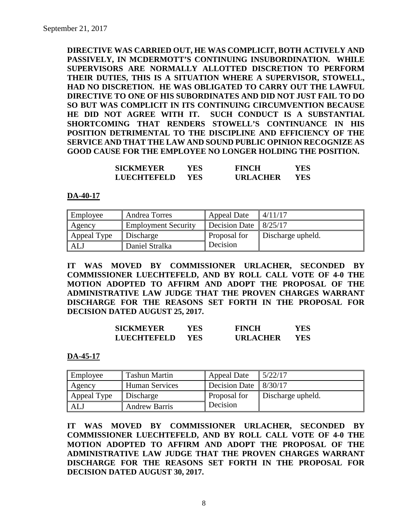**DIRECTIVE WAS CARRIED OUT, HE WAS COMPLICIT, BOTH ACTIVELY AND PASSIVELY, IN MCDERMOTT'S CONTINUING INSUBORDINATION. WHILE SUPERVISORS ARE NORMALLY ALLOTTED DISCRETION TO PERFORM THEIR DUTIES, THIS IS A SITUATION WHERE A SUPERVISOR, STOWELL, HAD NO DISCRETION. HE WAS OBLIGATED TO CARRY OUT THE LAWFUL DIRECTIVE TO ONE OF HIS SUBORDINATES AND DID NOT JUST FAIL TO DO SO BUT WAS COMPLICIT IN ITS CONTINUING CIRCUMVENTION BECAUSE HE DID NOT AGREE WITH IT. SUCH CONDUCT IS A SUBSTANTIAL SHORTCOMING THAT RENDERS STOWELL'S CONTINUANCE IN HIS POSITION DETRIMENTAL TO THE DISCIPLINE AND EFFICIENCY OF THE SERVICE AND THAT THE LAW AND SOUND PUBLIC OPINION RECOGNIZE AS GOOD CAUSE FOR THE EMPLOYEE NO LONGER HOLDING THE POSITION.**

| <b>SICKMEYER</b> | YES  | <b>FINCH</b>    | YES |
|------------------|------|-----------------|-----|
| LUECHTEFELD      | YES. | <b>URLACHER</b> | YES |

**DA-40-17**

| Employee    | Andrea Torres              | <b>Appeal Date</b> | 4/11/17           |
|-------------|----------------------------|--------------------|-------------------|
| Agency      | <b>Employment Security</b> | Decision Date      | 8/25/17           |
| Appeal Type | Discharge                  | Proposal for       | Discharge upheld. |
| ALJ         | Daniel Stralka             | Decision           |                   |

**IT WAS MOVED BY COMMISSIONER URLACHER, SECONDED BY COMMISSIONER LUECHTEFELD, AND BY ROLL CALL VOTE OF 4-0 THE MOTION ADOPTED TO AFFIRM AND ADOPT THE PROPOSAL OF THE ADMINISTRATIVE LAW JUDGE THAT THE PROVEN CHARGES WARRANT DISCHARGE FOR THE REASONS SET FORTH IN THE PROPOSAL FOR DECISION DATED AUGUST 25, 2017.**

| <b>SICKMEYER</b> | YES | <b>FINCH</b>    | YES |
|------------------|-----|-----------------|-----|
| LUECHTEFELD      | YES | <b>URLACHER</b> | YES |

**DA-45-17**

| Employee    | <b>Tashun Martin</b> | <b>Appeal Date</b>   | 5/22/17           |
|-------------|----------------------|----------------------|-------------------|
| Agency      | Human Services       | <b>Decision Date</b> | 8/30/17           |
| Appeal Type | Discharge            | Proposal for         | Discharge upheld. |
| <b>AL</b>   | <b>Andrew Barris</b> | Decision             |                   |

**IT WAS MOVED BY COMMISSIONER URLACHER, SECONDED BY COMMISSIONER LUECHTEFELD, AND BY ROLL CALL VOTE OF 4-0 THE MOTION ADOPTED TO AFFIRM AND ADOPT THE PROPOSAL OF THE ADMINISTRATIVE LAW JUDGE THAT THE PROVEN CHARGES WARRANT DISCHARGE FOR THE REASONS SET FORTH IN THE PROPOSAL FOR DECISION DATED AUGUST 30, 2017.**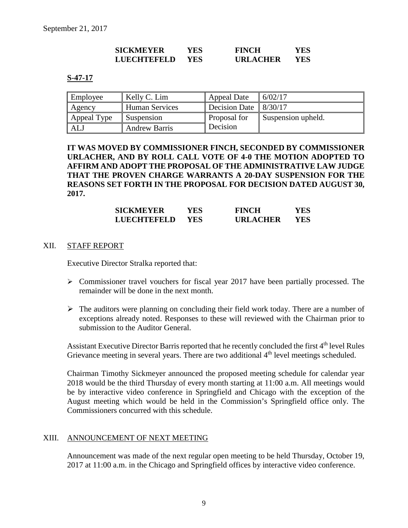| <b>SICKMEYER</b>   | YES        | <b>FINCH</b>    | YES. |
|--------------------|------------|-----------------|------|
| <b>LUECHTEFELD</b> | <b>YES</b> | <b>URLACHER</b> | YES  |

#### **S-47-17**

| Employee    | Kelly C. Lim         | <b>Appeal Date</b>   | 6/02/17            |
|-------------|----------------------|----------------------|--------------------|
| Agency      | Human Services       | <b>Decision Date</b> | 8/30/17            |
| Appeal Type | Suspension           | Proposal for         | Suspension upheld. |
| <b>ALJ</b>  | <b>Andrew Barris</b> | Decision             |                    |

**IT WAS MOVED BY COMMISSIONER FINCH, SECONDED BY COMMISSIONER URLACHER, AND BY ROLL CALL VOTE OF 4-0 THE MOTION ADOPTED TO AFFIRM AND ADOPT THE PROPOSAL OF THE ADMINISTRATIVE LAW JUDGE THAT THE PROVEN CHARGE WARRANTS A 20-DAY SUSPENSION FOR THE REASONS SET FORTH IN THE PROPOSAL FOR DECISION DATED AUGUST 30, 2017.**

| <b>SICKMEYER</b> | YES. | <b>FINCH</b>    | YES |
|------------------|------|-----------------|-----|
| LUECHTEFELD      | YES. | <b>URLACHER</b> | YES |

#### XII. STAFF REPORT

Executive Director Stralka reported that:

- $\triangleright$  Commissioner travel vouchers for fiscal year 2017 have been partially processed. The remainder will be done in the next month.
- $\triangleright$  The auditors were planning on concluding their field work today. There are a number of exceptions already noted. Responses to these will reviewed with the Chairman prior to submission to the Auditor General.

Assistant Executive Director Barris reported that he recently concluded the first 4<sup>th</sup> level Rules Grievance meeting in several years. There are two additional 4<sup>th</sup> level meetings scheduled.

Chairman Timothy Sickmeyer announced the proposed meeting schedule for calendar year 2018 would be the third Thursday of every month starting at 11:00 a.m. All meetings would be by interactive video conference in Springfield and Chicago with the exception of the August meeting which would be held in the Commission's Springfield office only. The Commissioners concurred with this schedule.

#### XIII. ANNOUNCEMENT OF NEXT MEETING

Announcement was made of the next regular open meeting to be held Thursday, October 19, 2017 at 11:00 a.m. in the Chicago and Springfield offices by interactive video conference.